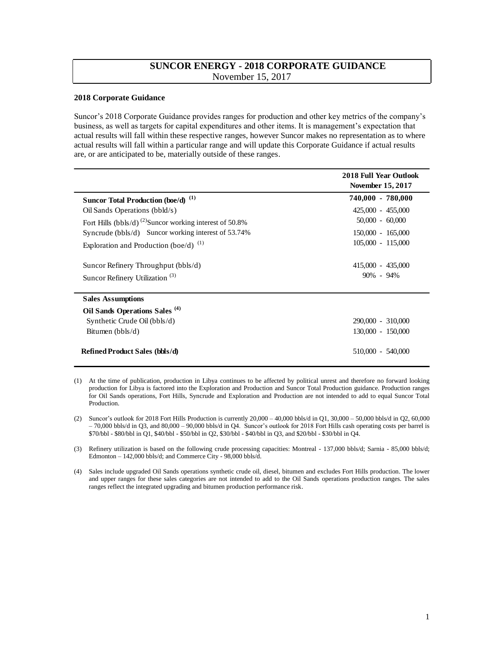## **SUNCOR ENERGY - 2018 CORPORATE GUIDANCE**  November 15, 2017

## **2018 Corporate Guidance**

 Suncor's 2018 Corporate Guidance provides ranges for production and other key metrics of the company's business, as well as targets for capital expenditures and other items. It is management's expectation that actual results will fall within these respective ranges, however Suncor makes no representation as to where actual results will fall within a particular range and will update this Corporate Guidance if actual results are, or are anticipated to be, materially outside of these ranges.

|                                                                     | <b>2018 Full Year Outlook</b><br><b>November 15, 2017</b> |  |  |
|---------------------------------------------------------------------|-----------------------------------------------------------|--|--|
| Suncor Total Production (boe/d) <sup>(1)</sup>                      | 740,000 - 780,000                                         |  |  |
| Oil Sands Operations (bbld/s)                                       | 425,000 - 455,000                                         |  |  |
| Fort Hills (bbls/d) <sup>(2)</sup> Suncor working interest of 50.8% | $50,000 - 60,000$                                         |  |  |
| Syncrude (bbls/d) Suncor working interest of $53.74\%$              | $150,000 - 165,000$                                       |  |  |
| Exploration and Production (boe/d) $(1)$                            | 105,000 - 115,000                                         |  |  |
| Suncor Refinery Throughput (bbls/d)                                 | 415,000 - 435,000                                         |  |  |
| Suncor Refinery Utilization <sup>(3)</sup>                          | $90\% - 94\%$                                             |  |  |
| <b>Sales Assumptions</b>                                            |                                                           |  |  |
| Oil Sands Operations Sales <sup>(4)</sup>                           |                                                           |  |  |
| Synthetic Crude Oil (bbls/d)                                        | 290,000 - 310,000                                         |  |  |
| Bitumen $(bbls/d)$                                                  | 130,000 - 150,000                                         |  |  |
| <b>Refined Product Sales (bbls/d)</b>                               | 510,000 - 540,000                                         |  |  |

 (1) At the time of publication, production in Libya continues to be affected by political unrest and therefore no forward looking production for Libya is factored into the Exploration and Production and Suncor Total Production guidance. Production ranges for Oil Sands operations, Fort Hills, Syncrude and Exploration and Production are not intended to add to equal Suncor Total Production.

 (2) Suncor's outlook for 2018 Fort Hills Production is currently 20,000 – 40,000 bbls/d in Q1, 30,000 – 50,000 bbls/d in Q2, 60,000 – 70,000 bbls/d in Q3, and 80,000 – 90,000 bbls/d in Q4. Suncor's outlook for 2018 Fort Hills cash operating costs per barrel is \$70/bbl - \$80/bbl in Q1, \$40/bbl - \$50/bbl in Q2, \$30/bbl - \$40/bbl in Q3, and \$20/bbl - \$30/bbl in Q4.

 (3) Refinery utilization is based on the following crude processing capacities: Montreal - 137,000 bbls/d; Sarnia - 85,000 bbls/d; Edmonton – 142,000 bbls/d; and Commerce City - 98,000 bbls/d.

 (4) Sales include upgraded Oil Sands operations synthetic crude oil, diesel, bitumen and excludes Fort Hills production. The lower and upper ranges for these sales categories are not intended to add to the Oil Sands operations production ranges. The sales ranges reflect the integrated upgrading and bitumen production performance risk.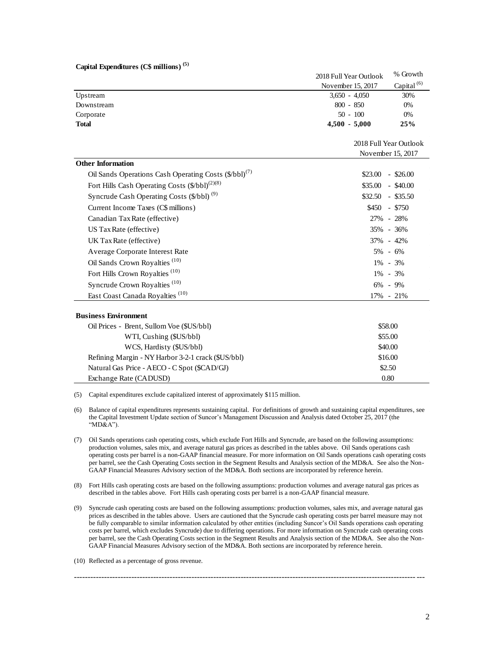| Capital Expenditures (C\$ millions) <sup>(5)</sup> |  |
|----------------------------------------------------|--|
|----------------------------------------------------|--|

| Capital Expenditures (C\$ millions) <sup>(5)</sup>                |                                             |                        |  |
|-------------------------------------------------------------------|---------------------------------------------|------------------------|--|
|                                                                   | 2018 Full Year Outlook                      | % Growth               |  |
|                                                                   | November 15, 2017                           | Capital <sup>(6)</sup> |  |
| Upstream                                                          | $3,650 - 4,050$                             | 30%                    |  |
| Downstream                                                        | $800 - 850$                                 | 0%                     |  |
| Corporate                                                         | $50 - 100$                                  | 0%                     |  |
| <b>Total</b>                                                      | $4,500 - 5,000$                             | 25%                    |  |
|                                                                   |                                             |                        |  |
|                                                                   | 2018 Full Year Outlook<br>November 15, 2017 |                        |  |
| <b>Other Information</b>                                          |                                             |                        |  |
| Oil Sands Operations Cash Operating Costs (\$/bbl) <sup>(7)</sup> | \$23.00                                     | $-$ \$26.00            |  |
| Fort Hills Cash Operating Costs (\$/bbl) <sup>(2)(8)</sup>        | $$35.00 - $40.00$                           |                        |  |
| Syncrude Cash Operating Costs (\$/bbl) <sup>(9)</sup>             | $$32.50 - $35.50$                           |                        |  |
|                                                                   |                                             |                        |  |
| Current Income Taxes (C\$ millions)                               | \$450                                       | - \$750                |  |
| Canadian Tax Rate (effective)                                     |                                             | 27% - 28%              |  |
| US Tax Rate (effective)                                           |                                             | 35% - 36%              |  |
| UK Tax Rate (effective)                                           |                                             | 37% - 42%              |  |
| Average Corporate Interest Rate                                   | $5\% - 6\%$                                 |                        |  |
| Oil Sands Crown Royalties <sup>(10)</sup>                         | $1\% - 3\%$                                 |                        |  |
| Fort Hills Crown Royalties <sup>(10)</sup>                        | $1\% - 3\%$                                 |                        |  |
| Syncrude Crown Royalties <sup>(10)</sup>                          | 6% - 9%                                     |                        |  |
| East Coast Canada Royalties <sup>(10)</sup>                       |                                             | 17% - 21%              |  |
|                                                                   |                                             |                        |  |
| <b>Business Environment</b>                                       |                                             |                        |  |
| Oil Prices - Brent, Sullom Voe (\$US/bbl)                         |                                             | \$58.00                |  |
| WTI, Cushing (\$US/bbl)                                           | \$55.00                                     |                        |  |
| WCS, Hardisty (\$US/bbl)                                          | \$40.00                                     |                        |  |
| Refining Margin - NY Harbor 3-2-1 crack (\$US/bbl)                | \$16.00                                     |                        |  |
| Natural Gas Price - AECO - C Spot (\$CAD/GJ)                      | \$2.50                                      |                        |  |
| Exchange Rate (CADUSD)                                            | 0.80                                        |                        |  |

(5) Capital expenditures exclude capitalized interest of approximately \$115 million.

 (6) Balance of capital expenditures represents sustaining capital. For definitions of growth and sustaining capital expenditures, see the Capital Investment Update section of Suncor's Management Discussion and Analysis dated October 25, 2017 (the "MD&A").

- (7) Oil Sands operations cash operating costs, which exclude Fort Hills and Syncrude, are based on the following assumptions: production volumes, sales mix, and average natural gas prices as described in the tables above. Oil Sands operations cash operating costs per barrel is a non-GAAP financial measure. For more information on Oil Sands operations cash operating costs per barrel, see the Cash Operating Costs section in the Segment Results and Analysis section of the MD&A. See also the Non-GAAP Financial Measures Advisory section of the MD&A. Both sections are incorporated by reference herein.
- (8) Fort Hills cash operating costs are based on the following assumptions: production volumes and average natural gas prices as described in the tables above. Fort Hills cash operating costs per barrel is a non-GAAP financial measure.
- (9) Syncrude cash operating costs are based on the following assumptions: production volumes, sales mix, and average natural gas prices as described in the tables above. Users are cautioned that the Syncrude cash operating costs per barrel measure may not be fully comparable to similar information calculated by other entities (including Suncor's Oil Sands operations cash operating costs per barrel, which excludes Syncrude) due to differing operations. For more information on Syncrude cash operating costs per barrel, see the Cash Operating Costs section in the Segment Results and Analysis section of the MD&A. See also the Non-GAAP Financial Measures Advisory section of the MD&A. Both sections are incorporated by reference herein.

----------------------------------------------------------------------------------------------------------------------------- ---

(10) Reflected as a percentage of gross revenue.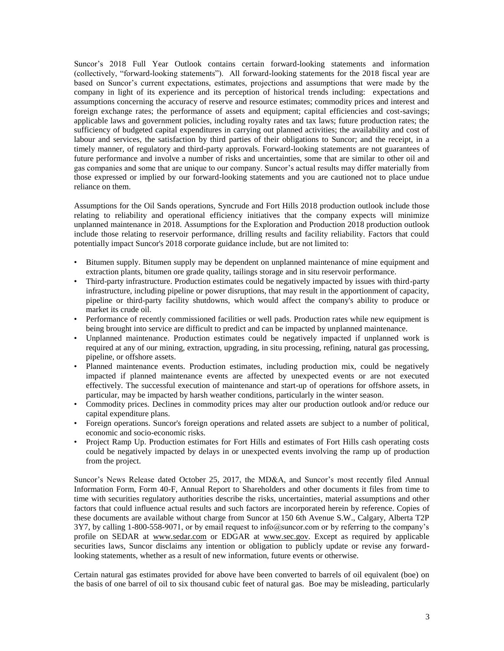Suncor's 2018 Full Year Outlook contains certain forward-looking statements and information (collectively, "forward-looking statements"). All forward-looking statements for the 2018 fiscal year are based on Suncor's current expectations, estimates, projections and assumptions that were made by the company in light of its experience and its perception of historical trends including: expectations and assumptions concerning the accuracy of reserve and resource estimates; commodity prices and interest and foreign exchange rates; the performance of assets and equipment; capital efficiencies and cost-savings; applicable laws and government policies, including royalty rates and tax laws; future production rates; the sufficiency of budgeted capital expenditures in carrying out planned activities; the availability and cost of labour and services, the satisfaction by third parties of their obligations to Suncor; and the receipt, in a timely manner, of regulatory and third-party approvals. Forward-looking statements are not guarantees of future performance and involve a number of risks and uncertainties, some that are similar to other oil and gas companies and some that are unique to our company. Suncor's actual results may differ materially from those expressed or implied by our forward-looking statements and you are cautioned not to place undue reliance on them.

 Assumptions for the Oil Sands operations, Syncrude and Fort Hills 2018 production outlook include those relating to reliability and operational efficiency initiatives that the company expects will minimize unplanned maintenance in 2018. Assumptions for the Exploration and Production 2018 production outlook include those relating to reservoir performance, drilling results and facility reliability. Factors that could potentially impact Suncor's 2018 corporate guidance include, but are not limited to:

- • Bitumen supply. Bitumen supply may be dependent on unplanned maintenance of mine equipment and extraction plants, bitumen ore grade quality, tailings storage and in situ reservoir performance.
- • Third-party infrastructure. Production estimates could be negatively impacted by issues with third-party infrastructure, including pipeline or power disruptions, that may result in the apportionment of capacity, pipeline or third-party facility shutdowns, which would affect the company's ability to produce or market its crude oil.
- • Performance of recently commissioned facilities or well pads. Production rates while new equipment is being brought into service are difficult to predict and can be impacted by unplanned maintenance.
- • Unplanned maintenance. Production estimates could be negatively impacted if unplanned work is required at any of our mining, extraction, upgrading, in situ processing, refining, natural gas processing, pipeline, or offshore assets.
- • Planned maintenance events. Production estimates, including production mix, could be negatively impacted if planned maintenance events are affected by unexpected events or are not executed effectively. The successful execution of maintenance and start-up of operations for offshore assets, in particular, may be impacted by harsh weather conditions, particularly in the winter season.
- • Commodity prices. Declines in commodity prices may alter our production outlook and/or reduce our capital expenditure plans.
- • Foreign operations. Suncor's foreign operations and related assets are subject to a number of political, economic and socio-economic risks.
- • Project Ramp Up. Production estimates for Fort Hills and estimates of Fort Hills cash operating costs could be negatively impacted by delays in or unexpected events involving the ramp up of production from the project.

 Suncor's News Release dated October 25, 2017, the MD&A, and Suncor's most recently filed Annual Information Form, Form 40-F, Annual Report to Shareholders and other documents it files from time to time with securities regulatory authorities describe the risks, uncertainties, material assumptions and other factors that could influence actual results and such factors are incorporated herein by reference. Copies of these documents are available without charge from Suncor at 150 6th Avenue S.W., Calgary, Alberta T2P 3Y7, by calling 1-800-558-9071, or by email request to [info@suncor.com](mailto:info@suncor.com) or by referring to the company's profile on SEDAR at [www.sedar.com](file://suncorp/sundata/PERF/Corporate%20FP&A/02-Budgets/Documents%20and%20Settings/ckurek/Local%20Settings/2011%205+7/07%20-%20Corporate%20Guidance%20Requirements/Documents%20and%20Settings/mpwebster/Local%20Settings/2011%202+10/12%20-%202011%20Corporate%20Guidance%20Q1%20Update/www.sedar.com) or EDGAR at [www.sec.gov.](file://suncorp/sundata/PERF/Corporate%20FP&A/02-Budgets/Documents%20and%20Settings/ckurek/Local%20Settings/2011%205+7/07%20-%20Corporate%20Guidance%20Requirements/Documents%20and%20Settings/mpwebster/Local%20Settings/2011%202+10/12%20-%202011%20Corporate%20Guidance%20Q1%20Update/www.sec.gov) Except as required by applicable securities laws, Suncor disclaims any intention or obligation to publicly update or revise any forward-looking statements, whether as a result of new information, future events or otherwise.

 Certain natural gas estimates provided for above have been converted to barrels of oil equivalent (boe) on the basis of one barrel of oil to six thousand cubic feet of natural gas. Boe may be misleading, particularly